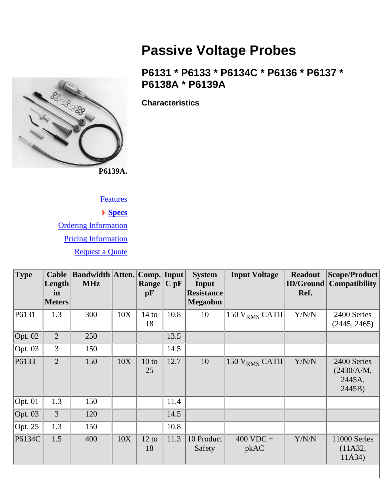<span id="page-0-0"></span>

## **Passive Voltage Probes**

## **P6131 \* P6133 \* P6134C \* P6136 \* P6137 \* P6138A \* P6139A**

**Characteristics**

## **Features**

## **Specs**

Ordering Information Pricing Information Request a Quote

| <b>Type</b> | <b>Cable</b><br>Length<br>in | <b>Bandwidth Atten. Comp. Input</b><br><b>MHz</b> |     | <b>Range</b><br>pF    | $C$ pF | <b>System</b><br>Input<br><b>Resistance</b> | <b>Input Voltage</b>        | <b>Readout</b><br>ID/Ground<br>Ref. | Scope/Product<br><b>Compatibility</b>         |
|-------------|------------------------------|---------------------------------------------------|-----|-----------------------|--------|---------------------------------------------|-----------------------------|-------------------------------------|-----------------------------------------------|
|             | <b>Meters</b>                |                                                   |     |                       |        | <b>Megaohm</b>                              |                             |                                     |                                               |
| P6131       | 1.3                          | 300                                               | 10X | $14$ to<br>18         | 10.8   | 10                                          | 150 $VRMS$ CATII            | Y/N/N                               | 2400 Series<br>(2445, 2465)                   |
| Opt. $02$   | $\overline{2}$               | 250                                               |     |                       | 13.5   |                                             |                             |                                     |                                               |
| Opt. $03$   | 3                            | 150                                               |     |                       | 14.5   |                                             |                             |                                     |                                               |
| P6133       | $\overline{2}$               | 150                                               | 10X | $10$ to<br>25         | 12.7   | 10                                          | $150 VRMS$ CATII            | Y/N/N                               | 2400 Series<br>(2430/A/M,<br>2445A,<br>2445B) |
| Opt. $01$   | 1.3                          | 150                                               |     |                       | 11.4   |                                             |                             |                                     |                                               |
| Opt. $03$   | $\overline{3}$               | 120                                               |     |                       | 14.5   |                                             |                             |                                     |                                               |
| Opt. $25$   | 1.3                          | 150                                               |     |                       | 10.8   |                                             |                             |                                     |                                               |
| P6134C      | 1.5                          | 400                                               | 10X | $12 \text{ to}$<br>18 | 11.3   | 10 Product<br>Safety                        | $400 \text{ VDC} +$<br>pkAC | Y/N/N                               | 11000 Series<br>(11A32,<br>11A34)             |